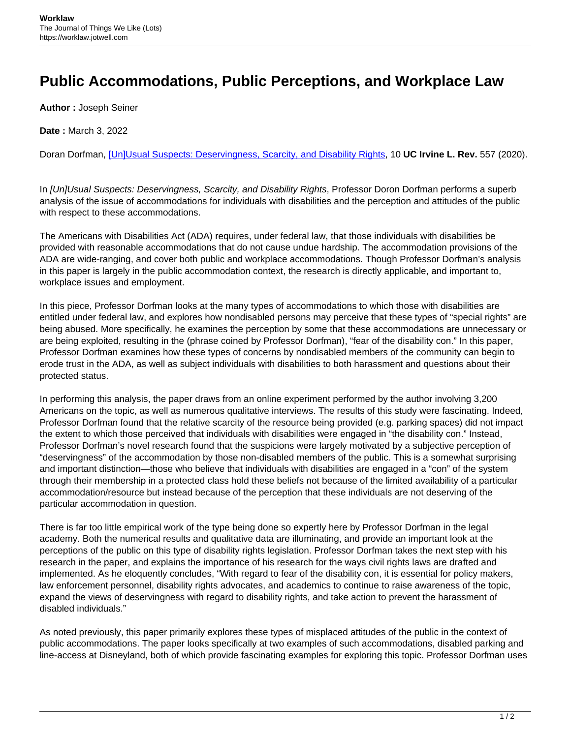## **Public Accommodations, Public Perceptions, and Workplace Law**

**Author :** Joseph Seiner

**Date :** March 3, 2022

Doran Dorfman, [\[Un\]Usual Suspects: Deservingness, Scarcity, and Disability Rights](https://scholarship.law.uci.edu/ucilr/vol10/iss2/6/), 10 **UC Irvine L. Rev.** 557 (2020).

In [Un]Usual Suspects: Deservingness, Scarcity, and Disability Rights, Professor Doron Dorfman performs a superb analysis of the issue of accommodations for individuals with disabilities and the perception and attitudes of the public with respect to these accommodations.

The Americans with Disabilities Act (ADA) requires, under federal law, that those individuals with disabilities be provided with reasonable accommodations that do not cause undue hardship. The accommodation provisions of the ADA are wide-ranging, and cover both public and workplace accommodations. Though Professor Dorfman's analysis in this paper is largely in the public accommodation context, the research is directly applicable, and important to, workplace issues and employment.

In this piece, Professor Dorfman looks at the many types of accommodations to which those with disabilities are entitled under federal law, and explores how nondisabled persons may perceive that these types of "special rights" are being abused. More specifically, he examines the perception by some that these accommodations are unnecessary or are being exploited, resulting in the (phrase coined by Professor Dorfman), "fear of the disability con." In this paper, Professor Dorfman examines how these types of concerns by nondisabled members of the community can begin to erode trust in the ADA, as well as subject individuals with disabilities to both harassment and questions about their protected status.

In performing this analysis, the paper draws from an online experiment performed by the author involving 3,200 Americans on the topic, as well as numerous qualitative interviews. The results of this study were fascinating. Indeed, Professor Dorfman found that the relative scarcity of the resource being provided (e.g. parking spaces) did not impact the extent to which those perceived that individuals with disabilities were engaged in "the disability con." Instead, Professor Dorfman's novel research found that the suspicions were largely motivated by a subjective perception of "deservingness" of the accommodation by those non-disabled members of the public. This is a somewhat surprising and important distinction—those who believe that individuals with disabilities are engaged in a "con" of the system through their membership in a protected class hold these beliefs not because of the limited availability of a particular accommodation/resource but instead because of the perception that these individuals are not deserving of the particular accommodation in question.

There is far too little empirical work of the type being done so expertly here by Professor Dorfman in the legal academy. Both the numerical results and qualitative data are illuminating, and provide an important look at the perceptions of the public on this type of disability rights legislation. Professor Dorfman takes the next step with his research in the paper, and explains the importance of his research for the ways civil rights laws are drafted and implemented. As he eloquently concludes, "With regard to fear of the disability con, it is essential for policy makers, law enforcement personnel, disability rights advocates, and academics to continue to raise awareness of the topic, expand the views of deservingness with regard to disability rights, and take action to prevent the harassment of disabled individuals."

As noted previously, this paper primarily explores these types of misplaced attitudes of the public in the context of public accommodations. The paper looks specifically at two examples of such accommodations, disabled parking and line-access at Disneyland, both of which provide fascinating examples for exploring this topic. Professor Dorfman uses